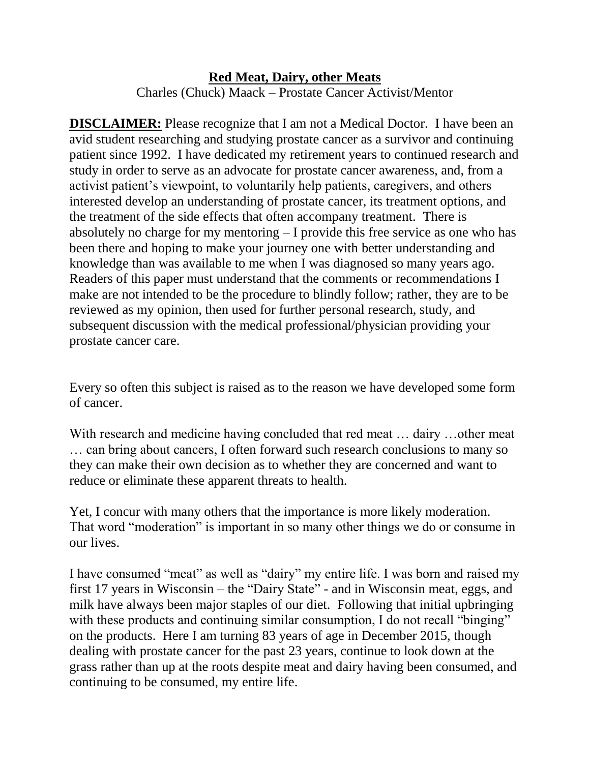## **Red Meat, Dairy, other Meats** Charles (Chuck) Maack – Prostate Cancer Activist/Mentor

**DISCLAIMER:** Please recognize that I am not a Medical Doctor. I have been an avid student researching and studying prostate cancer as a survivor and continuing patient since 1992. I have dedicated my retirement years to continued research and study in order to serve as an advocate for prostate cancer awareness, and, from a activist patient's viewpoint, to voluntarily help patients, caregivers, and others interested develop an understanding of prostate cancer, its treatment options, and the treatment of the side effects that often accompany treatment. There is absolutely no charge for my mentoring – I provide this free service as one who has been there and hoping to make your journey one with better understanding and knowledge than was available to me when I was diagnosed so many years ago. Readers of this paper must understand that the comments or recommendations I make are not intended to be the procedure to blindly follow; rather, they are to be reviewed as my opinion, then used for further personal research, study, and subsequent discussion with the medical professional/physician providing your prostate cancer care.

Every so often this subject is raised as to the reason we have developed some form of cancer.

With research and medicine having concluded that red meat ... dairy ... other meat … can bring about cancers, I often forward such research conclusions to many so they can make their own decision as to whether they are concerned and want to reduce or eliminate these apparent threats to health.

Yet, I concur with many others that the importance is more likely moderation. That word "moderation" is important in so many other things we do or consume in our lives.

I have consumed "meat" as well as "dairy" my entire life. I was born and raised my first 17 years in Wisconsin – the "Dairy State" - and in Wisconsin meat, eggs, and milk have always been major staples of our diet. Following that initial upbringing with these products and continuing similar consumption, I do not recall "binging" on the products. Here I am turning 83 years of age in December 2015, though dealing with prostate cancer for the past 23 years, continue to look down at the grass rather than up at the roots despite meat and dairy having been consumed, and continuing to be consumed, my entire life.